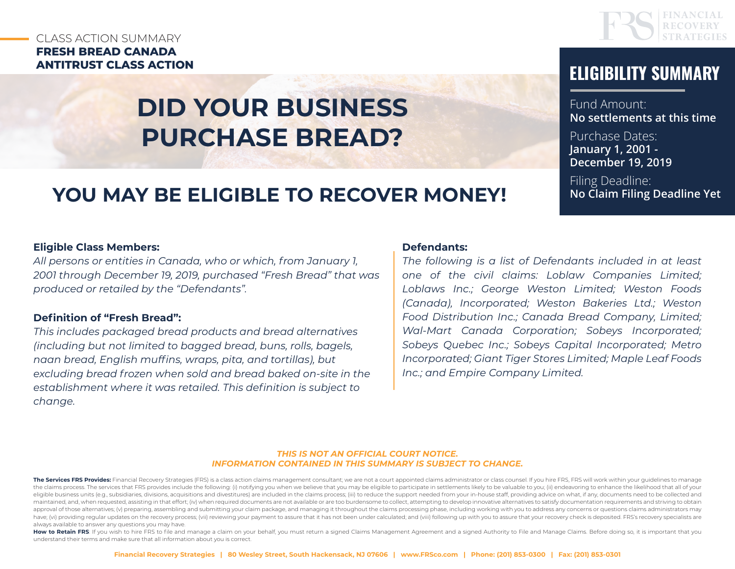### CLASS ACTION SUMMARY **FRESH BREAD CANADA ANTITRUST CLASS ACTION ELIGIBILITY SUMMARY**

# **DID YOUR BUSINESS PURCHASE BREAD?**

## **YOU MAY BE ELIGIBLE TO RECOVER MONEY!**

#### **Eligible Class Members:**

*All persons or entities in Canada, who or which, from January 1, 2001 through December 19, 2019, purchased "Fresh Bread" that was produced or retailed by the "Defendants".*

#### **Definition of "Fresh Bread":**

*This includes packaged bread products and bread alternatives (including but not limited to bagged bread, buns, rolls, bagels, naan bread, English muffins, wraps, pita, and tortillas), but excluding bread frozen when sold and bread baked on-site in the establishment where it was retailed. This definition is subject to change.*

#### **Defendants:**

*The following is a list of Defendants included in at least one of the civil claims: Loblaw Companies Limited; Loblaws Inc.; George Weston Limited; Weston Foods (Canada), Incorporated; Weston Bakeries Ltd.; Weston Food Distribution Inc.; Canada Bread Company, Limited; Wal-Mart Canada Corporation; Sobeys Incorporated; Sobeys Quebec Inc.; Sobeys Capital Incorporated; Metro Incorporated; Giant Tiger Stores Limited; Maple Leaf Foods Inc.; and Empire Company Limited.*

#### *THIS IS NOT AN OFFICIAL COURT NOTICE. INFORMATION CONTAINED IN THIS SUMMARY IS SUBJECT TO CHANGE.*

The Services FRS Provides: Financial Recovery Strategies (FRS) is a class action claims management consultant; we are not a court appointed claims administrator or class counsel. If you hire FRS, FRS will work within your the claims process. The services that FRS provides include the following: (i) notifying you when we believe that you may be eligible to participate in settlements likely to be valuable to you; (ii) endeavoring to enhance t eligible business units (e.g., subsidiaries, divisions, acquisitions and divestitures) are included in the claims process; (iii) to reduce the support needed from your in-house staff, providing advice on what, if any, docu maintained, and, when requested, assisting in that effort; (iv) when required documents are not available or are too burdensome to collect, attempting to develop innovative alternatives to satisfy documentation requirement approval of those alternatives; (v) preparing, assembling and submitting your claim package, and managing it throughout the claims processing phase, including working with you to address any concerns or questions claims ad have; (vi) providing regular updates on the recovery process; (vii) reviewing your payment to assure that it has not been under calculated; and (viii) following up with you to assure that your recovery check is deposited. always available to answer any questions you may have.

How to Retain FRS: If you wish to hire FRS to file and manage a claim on your behalf, you must return a signed Claims Management Agreement and a signed Authority to File and Manage Claims. Before doing so, it is important understand their terms and make sure that all information about you is correct.

Fund Amount: **No settlements at this time**

Purchase Dates: **January 1, 2001 - December 19, 2019**

Filing Deadline: **No Claim Filing Deadline Yet**